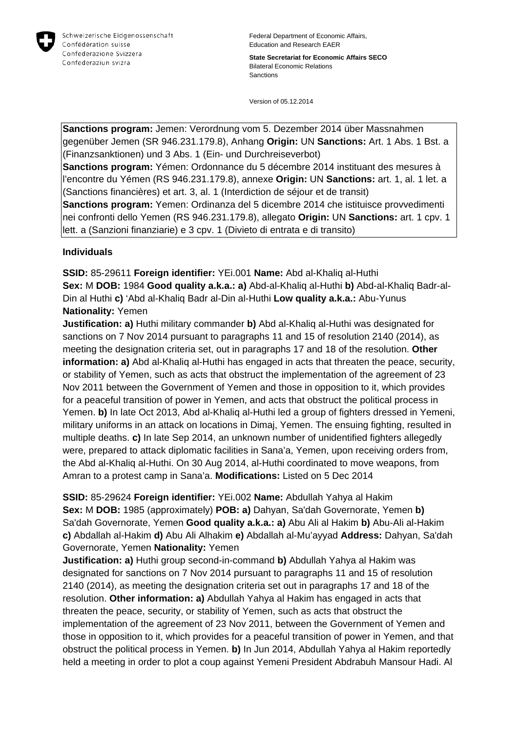

Federal Department of Economic Affairs, Education and Research EAER

**State Secretariat for Economic Affairs SECO** Bilateral Economic Relations Sanctions

Version of 05.12.2014

**Sanctions program:** Jemen: Verordnung vom 5. Dezember 2014 über Massnahmen gegenüber Jemen (SR 946.231.179.8), Anhang **Origin:** UN **Sanctions:** Art. 1 Abs. 1 Bst. a (Finanzsanktionen) und 3 Abs. 1 (Ein- und Durchreiseverbot) **Sanctions program:** Yémen: Ordonnance du 5 décembre 2014 instituant des mesures à l'encontre du Yémen (RS 946.231.179.8), annexe **Origin:** UN **Sanctions:** art. 1, al. 1 let. a

(Sanctions financières) et art. 3, al. 1 (Interdiction de séjour et de transit) **Sanctions program:** Yemen: Ordinanza del 5 dicembre 2014 che istituisce provvedimenti nei confronti dello Yemen (RS 946.231.179.8), allegato **Origin:** UN **Sanctions:** art. 1 cpv. 1 lett. a (Sanzioni finanziarie) e 3 cpv. 1 (Divieto di entrata e di transito)

## **Individuals**

**SSID:** 85-29611 **Foreign identifier:** YEi.001 **Name:** Abd al-Khaliq al-Huthi **Sex:** M **DOB:** 1984 **Good quality a.k.a.: a)** Abd-al-Khaliq al-Huthi **b)** Abd-al-Khaliq Badr-al-Din al Huthi **c)** 'Abd al-Khaliq Badr al-Din al-Huthi **Low quality a.k.a.:** Abu-Yunus **Nationality:** Yemen

**Justification: a)** Huthi military commander **b)** Abd al-Khaliq al-Huthi was designated for sanctions on 7 Nov 2014 pursuant to paragraphs 11 and 15 of resolution 2140 (2014), as meeting the designation criteria set, out in paragraphs 17 and 18 of the resolution. **Other information: a)** Abd al-Khaliq al-Huthi has engaged in acts that threaten the peace, security, or stability of Yemen, such as acts that obstruct the implementation of the agreement of 23 Nov 2011 between the Government of Yemen and those in opposition to it, which provides for a peaceful transition of power in Yemen, and acts that obstruct the political process in Yemen. **b)** In late Oct 2013, Abd al-Khaliq al-Huthi led a group of fighters dressed in Yemeni, military uniforms in an attack on locations in Dimaj, Yemen. The ensuing fighting, resulted in multiple deaths. **c)** In late Sep 2014, an unknown number of unidentified fighters allegedly were, prepared to attack diplomatic facilities in Sana'a, Yemen, upon receiving orders from, the Abd al-Khaliq al-Huthi. On 30 Aug 2014, al-Huthi coordinated to move weapons, from Amran to a protest camp in Sana'a. **Modifications:** Listed on 5 Dec 2014

**SSID:** 85-29624 **Foreign identifier:** YEi.002 **Name:** Abdullah Yahya al Hakim **Sex:** M **DOB:** 1985 (approximately) **POB: a)** Dahyan, Sa'dah Governorate, Yemen **b)**  Sa'dah Governorate, Yemen **Good quality a.k.a.: a)** Abu Ali al Hakim **b)** Abu-Ali al-Hakim **c)** Abdallah al-Hakim **d)** Abu Ali Alhakim **e)** Abdallah al-Mu'ayyad **Address:** Dahyan, Sa'dah Governorate, Yemen **Nationality:** Yemen

**Justification: a)** Huthi group second-in-command **b)** Abdullah Yahya al Hakim was designated for sanctions on 7 Nov 2014 pursuant to paragraphs 11 and 15 of resolution 2140 (2014), as meeting the designation criteria set out in paragraphs 17 and 18 of the resolution. **Other information: a)** Abdullah Yahya al Hakim has engaged in acts that threaten the peace, security, or stability of Yemen, such as acts that obstruct the implementation of the agreement of 23 Nov 2011, between the Government of Yemen and those in opposition to it, which provides for a peaceful transition of power in Yemen, and that obstruct the political process in Yemen. **b)** In Jun 2014, Abdullah Yahya al Hakim reportedly held a meeting in order to plot a coup against Yemeni President Abdrabuh Mansour Hadi. Al